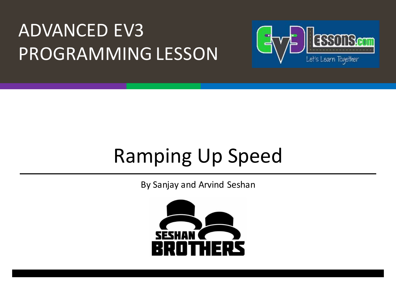#### **ADVANCED EV3** PROGRAMMING LESSON



## Ramping Up Speed

By Sanjay and Arvind Seshan

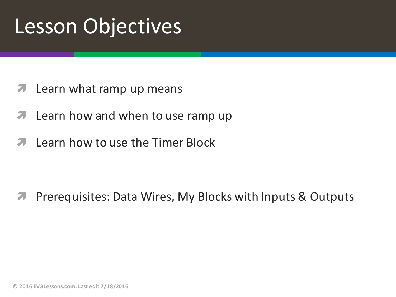## Lesson Objectives

- $\lambda$  Learn what ramp up means
- $\blacktriangleright$  Learn how and when to use ramp up
- $\overline{a}$  Learn how to use the Timer Block

**7** Prerequisites: Data Wires, My Blocks with Inputs & Outputs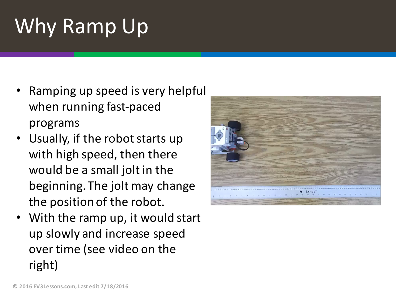# Why Ramp Up

- Ramping up speed is very helpful when running fast-paced programs
- Usually, if the robot starts up with high speed, then there would be a small jolt in the beginning. The jolt may change the position of the robot.
- With the ramp up, it would start up slowly and increase speed over time (see video on the right)

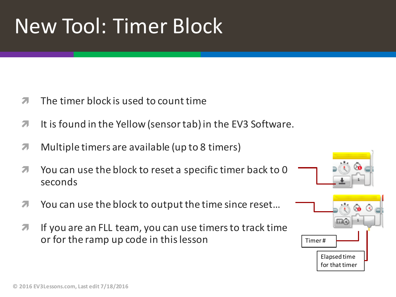## New Tool: Timer Block

- $\pi$  The timer block is used to count time
- $\blacktriangledown$  It is found in the Yellow (sensor tab) in the EV3 Software.
- $\lambda$  Multiple timers are available (up to 8 timers)
- **1** You can use the block to reset a specific timer back to 0 seconds
- $\blacktriangledown$  You can use the block to output the time since reset...
- $\lambda$  If you are an FLL team, you can use timers to track time or for the ramp up code in this lesson

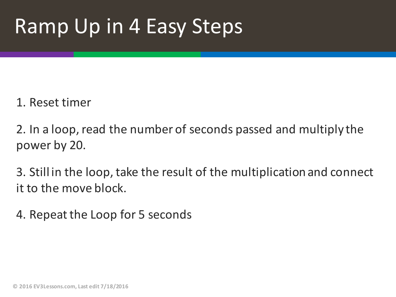## Ramp Up in 4 Easy Steps

#### 1. Reset timer

2. In a loop, read the number of seconds passed and multiply the power by 20.

3. Still in the loop, take the result of the multiplication and connect it to the move block.

4. Repeat the Loop for 5 seconds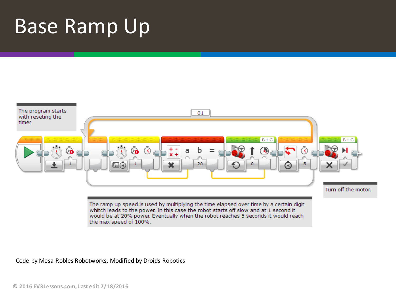#### Base Ramp Up



Code by Mesa Robles Robotworks. Modified by Droids Robotics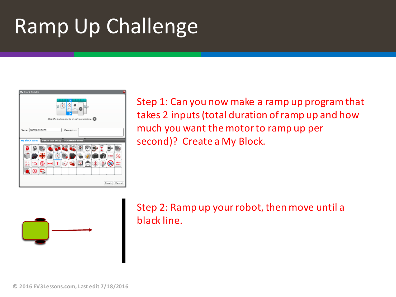## Ramp Up Challenge



Step 1: Can you now make a ramp up program that takes 2 inputs (total duration of ramp up and how much you want the motor to ramp up per second)? Create a My Block.



Step 2: Ramp up your robot, then move until a black line.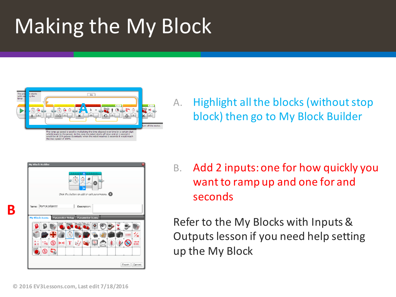# Making the My Block



A. Highlight all the blocks (without stop block) then go to My Block Builder

|                                                                        |     |  |  | ×                                            |  |   |            |              |
|------------------------------------------------------------------------|-----|--|--|----------------------------------------------|--|---|------------|--------------|
|                                                                        |     |  |  | Click the button to celd or cult parameters. |  |   |            |              |
| Name: RampUpSpeed<br>My Block Torns - Parameter Setup - Parameter Lons |     |  |  | Description:                                 |  |   |            |              |
|                                                                        |     |  |  |                                              |  |   | <b>EXT</b> |              |
|                                                                        | 524 |  |  |                                              |  | 裳 |            | 1910<br>Doğu |

B. Add 2 inputs: one for how quickly you want to ramp up and one for and seconds 

Refer to the My Blocks with Inputs & Outputs lesson if you need help setting up the My Block

**B**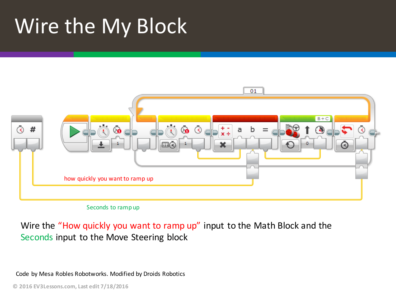## Wire the My Block





Wire the "How quickly you want to ramp up" input to the Math Block and the Seconds input to the Move Steering block

Code by Mesa Robles Robotworks. Modified by Droids Robotics

**© 2016 EV3Lessons.com, Last edit 7/18/2016**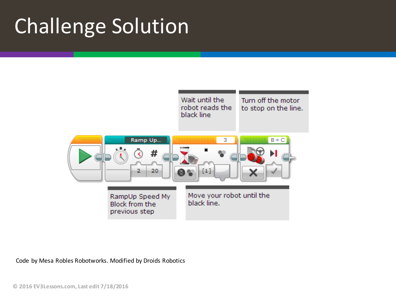## **Challenge Solution**



Code by Mesa Robles Robotworks. Modified by Droids Robotics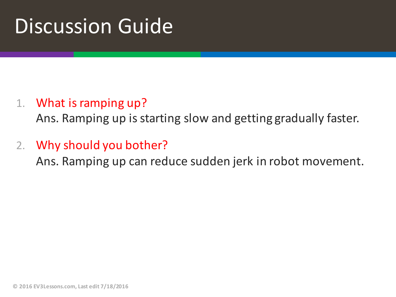### Discussion Guide

#### 1. What is ramping up?

Ans. Ramping up is starting slow and getting gradually faster.

#### 2. Why should you bother?

Ans. Ramping up can reduce sudden jerk in robot movement.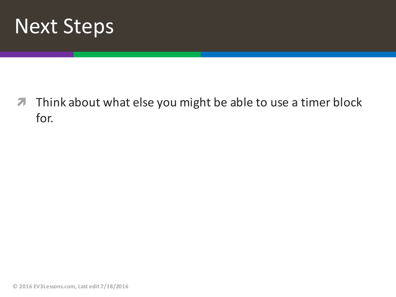

**7** Think about what else you might be able to use a timer block for.